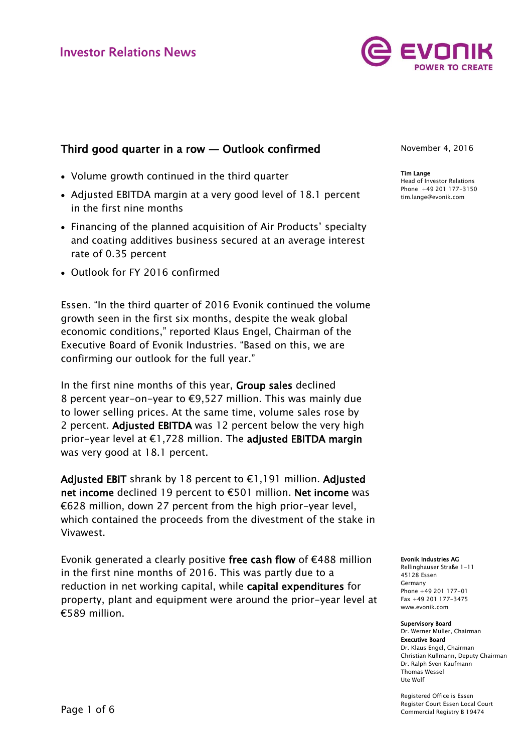

# Third good quarter in a row — Outlook confirmed

- Volume growth continued in the third quarter
- Adjusted EBITDA margin at a very good level of 18.1 percent in the first nine months
- Financing of the planned acquisition of Air Products' specialty and coating additives business secured at an average interest rate of 0.35 percent
- Outlook for FY 2016 confirmed

Essen. "In the third quarter of 2016 Evonik continued the volume growth seen in the first six months, despite the weak global economic conditions," reported Klaus Engel, Chairman of the Executive Board of Evonik Industries. "Based on this, we are confirming our outlook for the full year."

In the first nine months of this year, Group sales declined 8 percent year-on-year to €9,527 million. This was mainly due to lower selling prices. At the same time, volume sales rose by 2 percent. Adjusted EBITDA was 12 percent below the very high prior-year level at €1,728 million. The adjusted EBITDA margin was very good at 18.1 percent.

Adjusted EBIT shrank by 18 percent to €1,191 million. Adjusted net income declined 19 percent to €501 million. Net income was €628 million, down 27 percent from the high prior-year level, which contained the proceeds from the divestment of the stake in Vivawest.

Evonik generated a clearly positive free cash flow of €488 million in the first nine months of 2016. This was partly due to a reduction in net working capital, while capital expenditures for property, plant and equipment were around the prior-year level at €589 million.

November 4, 2016

Tim Lange Head of Investor Relations Phone +49 201 177-3150 tim.lange@evonik.com

Evonik Industries AG

Rellinghauser Straße 1-11 45128 Essen Germany Phone +49 201 177-01 Fax +49 201 177-3475 www.evonik.com

#### Supervisory Board

Dr. Werner Müller, Chairman Executive Board Dr. Klaus Engel, Chairman Christian Kullmann, Deputy Chairman Dr. Ralph Sven Kaufmann Thomas Wessel Ute Wolf

Registered Office is Essen Register Court Essen Local Court Commercial Registry B 19474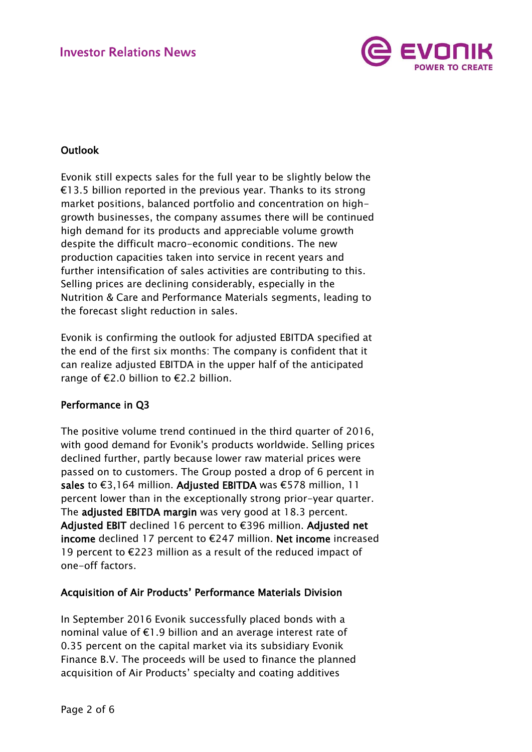

## Outlook

Evonik still expects sales for the full year to be slightly below the €13.5 billion reported in the previous year. Thanks to its strong market positions, balanced portfolio and concentration on highgrowth businesses, the company assumes there will be continued high demand for its products and appreciable volume growth despite the difficult macro-economic conditions. The new production capacities taken into service in recent years and further intensification of sales activities are contributing to this. Selling prices are declining considerably, especially in the Nutrition & Care and Performance Materials segments, leading to the forecast slight reduction in sales.

Evonik is confirming the outlook for adjusted EBITDA specified at the end of the first six months: The company is confident that it can realize adjusted EBITDA in the upper half of the anticipated range of €2.0 billion to €2.2 billion.

## Performance in Q3

The positive volume trend continued in the third quarter of 2016, with good demand for Evonik's products worldwide. Selling prices declined further, partly because lower raw material prices were passed on to customers. The Group posted a drop of 6 percent in sales to €3,164 million. Adjusted EBITDA was €578 million, 11 percent lower than in the exceptionally strong prior-year quarter. The adjusted EBITDA margin was very good at 18.3 percent. Adjusted EBIT declined 16 percent to €396 million. Adjusted net income declined 17 percent to €247 million. Net income increased 19 percent to €223 million as a result of the reduced impact of one-off factors.

### Acquisition of Air Products' Performance Materials Division

In September 2016 Evonik successfully placed bonds with a nominal value of €1.9 billion and an average interest rate of 0.35 percent on the capital market via its subsidiary Evonik Finance B.V. The proceeds will be used to finance the planned acquisition of Air Products' specialty and coating additives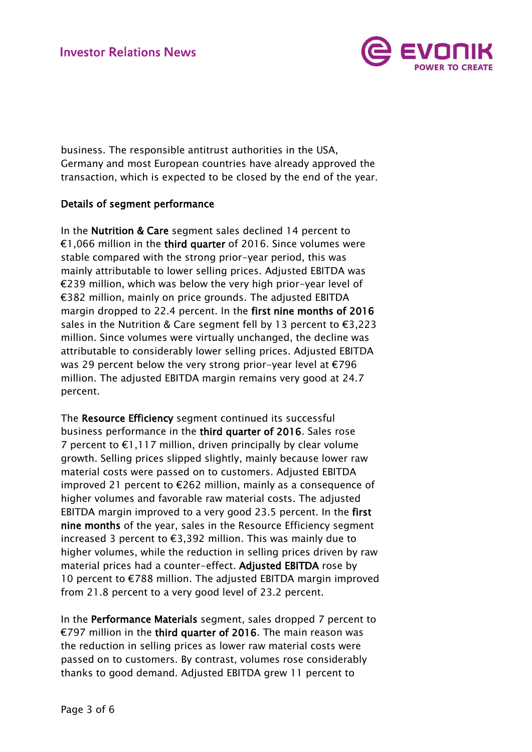

business. The responsible antitrust authorities in the USA, Germany and most European countries have already approved the transaction, which is expected to be closed by the end of the year.

### Details of segment performance

In the Nutrition & Care segment sales declined 14 percent to €1,066 million in the third quarter of 2016. Since volumes were stable compared with the strong prior-year period, this was mainly attributable to lower selling prices. Adjusted EBITDA was €239 million, which was below the very high prior-year level of €382 million, mainly on price grounds. The adjusted EBITDA margin dropped to 22.4 percent. In the first nine months of 2016 sales in the Nutrition & Care segment fell by 13 percent to €3,223 million. Since volumes were virtually unchanged, the decline was attributable to considerably lower selling prices. Adjusted EBITDA was 29 percent below the very strong prior-year level at €796 million. The adjusted EBITDA margin remains very good at 24.7 percent.

The Resource Efficiency segment continued its successful business performance in the third quarter of 2016. Sales rose 7 percent to  $\epsilon$ 1,117 million, driven principally by clear volume growth. Selling prices slipped slightly, mainly because lower raw material costs were passed on to customers. Adjusted EBITDA improved 21 percent to €262 million, mainly as a consequence of higher volumes and favorable raw material costs. The adjusted EBITDA margin improved to a very good 23.5 percent. In the first nine months of the year, sales in the Resource Efficiency segment increased 3 percent to €3,392 million. This was mainly due to higher volumes, while the reduction in selling prices driven by raw material prices had a counter-effect. Adjusted EBITDA rose by 10 percent to €788 million. The adjusted EBITDA margin improved from 21.8 percent to a very good level of 23.2 percent.

In the Performance Materials segment, sales dropped 7 percent to €797 million in the third quarter of 2016. The main reason was the reduction in selling prices as lower raw material costs were passed on to customers. By contrast, volumes rose considerably thanks to good demand. Adjusted EBITDA grew 11 percent to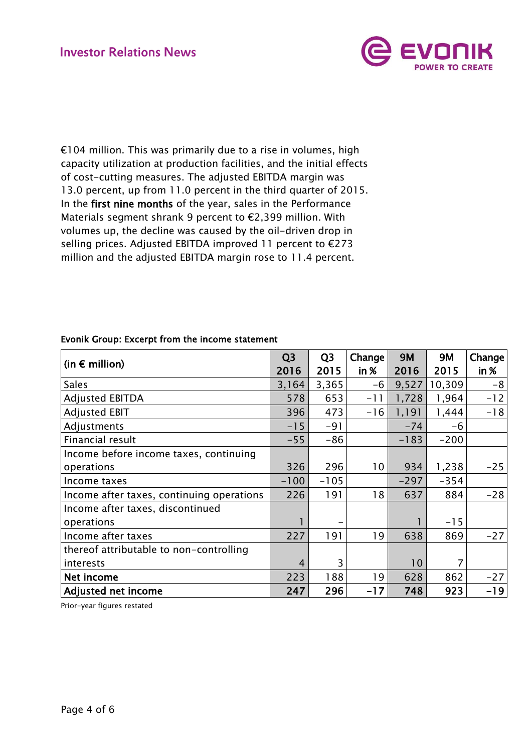

€104 million. This was primarily due to a rise in volumes, high capacity utilization at production facilities, and the initial effects of cost-cutting measures. The adjusted EBITDA margin was 13.0 percent, up from 11.0 percent in the third quarter of 2015. In the first nine months of the year, sales in the Performance Materials segment shrank 9 percent to €2,399 million. With volumes up, the decline was caused by the oil-driven drop in selling prices. Adjusted EBITDA improved 11 percent to €273 million and the adjusted EBITDA margin rose to 11.4 percent.

|                                           | Q <sub>3</sub> | Q <sub>3</sub> | Change | <b>9M</b>       | <b>9M</b> | Change  |
|-------------------------------------------|----------------|----------------|--------|-----------------|-----------|---------|
| (in $\epsilon$ million)                   | 2016           | 2015           | in %   | 2016            | 2015      | $in \%$ |
| <b>Sales</b>                              | 3,164          | 3,365          | $-6$   | 9,527           | 10,309    | $-8$    |
| <b>Adjusted EBITDA</b>                    | 578            | 653            | $-11$  | 1,728           | 1,964     | $-12$   |
| <b>Adjusted EBIT</b>                      | 396            | 473            | $-16$  | 1,191           | 1,444     | $-18$   |
| Adjustments                               | $-15$          | $-91$          |        | $-74$           | -6        |         |
| Financial result                          | $-55$          | $-86$          |        | $-183$          | $-200$    |         |
| Income before income taxes, continuing    |                |                |        |                 |           |         |
| operations                                | 326            | 296            | 10     | 934             | 1,238     | $-25$   |
| Income taxes                              | $-100$         | $-105$         |        | $-297$          | $-354$    |         |
| Income after taxes, continuing operations | 226            | 191            | 18     | 637             | 884       | $-28$   |
| Income after taxes, discontinued          |                |                |        |                 |           |         |
| operations                                |                |                |        |                 | $-15$     |         |
| Income after taxes                        | 227            | 191            | 19     | 638             | 869       | $-27$   |
| thereof attributable to non-controlling   |                |                |        |                 |           |         |
| interests                                 | $\overline{4}$ | 3              |        | 10 <sup>°</sup> | 7         |         |
| Net income                                | 223            | 188            | 19     | 628             | 862       | $-27$   |
| Adjusted net income                       | 247            | 296            | $-17$  | 748             | 923       | $-19$   |

### Evonik Group: Excerpt from the income statement

Prior-year figures restated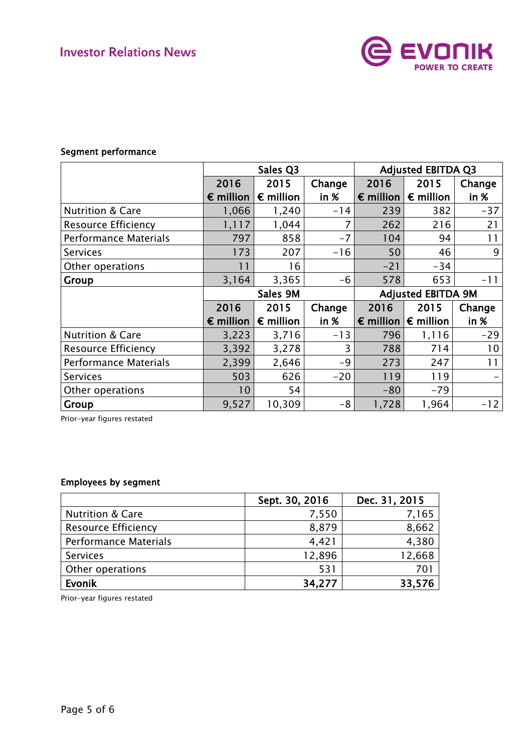

## Segment performance

|                              | Sales Q3           |                    |         | <b>Adjusted EBITDA Q3</b> |                           |         |  |
|------------------------------|--------------------|--------------------|---------|---------------------------|---------------------------|---------|--|
|                              | 2016               | 2015               | Change  | 2016                      | 2015                      | Change  |  |
|                              | $\epsilon$ million | $\epsilon$ million | $in \%$ | $\epsilon$ million        | $\epsilon$ million        | $in \%$ |  |
| <b>Nutrition &amp; Care</b>  | 1,066              | 1,240              | $-14$   | 239                       | 382                       | $-37$   |  |
| <b>Resource Efficiency</b>   | 1, 117             | 1,044              | 7       | 262                       | 216                       | 21      |  |
| <b>Performance Materials</b> | 797                | 858                | $-7$    | 104                       | 94                        | 11      |  |
| <b>Services</b>              | 173                | 207                | $-16$   | 50                        | 46                        | 9       |  |
| Other operations             | 11                 | 16                 |         | $-21$                     | $-34$                     |         |  |
| Group                        | 3,164              | 3,365              | $-6$    | 578                       | 653                       | $-11$   |  |
|                              |                    |                    |         |                           |                           |         |  |
|                              |                    | Sales 9M           |         |                           | <b>Adjusted EBITDA 9M</b> |         |  |
|                              | 2016               | 2015               | Change  | 2016                      | 2015                      | Change  |  |
|                              | $\epsilon$ million | $\epsilon$ million | in %    | $\epsilon$ million        | $\epsilon$ million        | in %    |  |
| <b>Nutrition &amp; Care</b>  | 3,223              | 3,716              | $-13$   | 796                       | 1,116                     | $-29$   |  |
| <b>Resource Efficiency</b>   | 3,392              | 3,278              | 3       | 788                       | 714                       | 10      |  |
| <b>Performance Materials</b> | 2,399              | 2,646              | $-9$    | 273                       | 247                       | 11      |  |
| <b>Services</b>              | 503                | 626                | $-20$   | 119                       | 119                       |         |  |
| Other operations             | 10                 | 54                 |         | $-80$                     | $-79$                     |         |  |

Prior-year figures restated

### Employees by segment

|                              | Sept. 30, 2016 | Dec. 31, 2015 |
|------------------------------|----------------|---------------|
| <b>Nutrition &amp; Care</b>  | 7,550          | 7,165         |
| <b>Resource Efficiency</b>   | 8,879          | 8,662         |
| <b>Performance Materials</b> | 4,421          | 4,380         |
| <b>Services</b>              | 12,896         | 12,668        |
| Other operations             | 531            | 701           |
| Evonik                       | 34,277         | 33,576        |

Prior-year figures restated